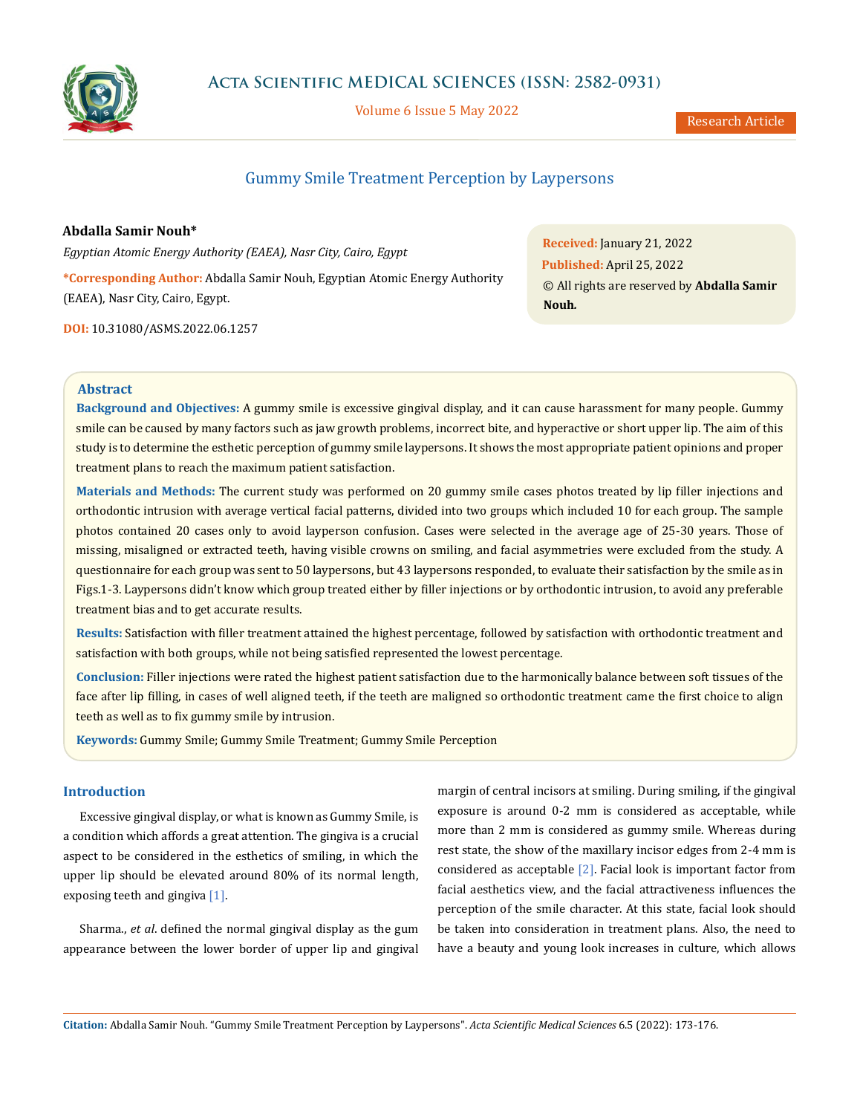

Volume 6 Issue 5 May 2022

Research Article

# Gummy Smile Treatment Perception by Laypersons

**Abdalla Samir Nouh\*** *Egyptian Atomic Energy Authority (EAEA), Nasr City, Cairo, Egypt* **\*Corresponding Author:** Abdalla Samir Nouh, Egyptian Atomic Energy Authority (EAEA), Nasr City, Cairo, Egypt.

**DOI:** [10.31080/ASMS.2022.06.1257](http://actascientific.com/ASMS/pdf/ASMS-06-1257.pdf)

**Received:** January 21, 2022 **Published:** April 25, 2022 © All rights are reserved by **Abdalla Samir Nouh***.*

# **Abstract**

**Background and Objectives:** A gummy smile is excessive gingival display, and it can cause harassment for many people. Gummy smile can be caused by many factors such as jaw growth problems, incorrect bite, and hyperactive or short upper lip. The aim of this study is to determine the esthetic perception of gummy smile laypersons. It shows the most appropriate patient opinions and proper treatment plans to reach the maximum patient satisfaction.

**Materials and Methods:** The current study was performed on 20 gummy smile cases photos treated by lip filler injections and orthodontic intrusion with average vertical facial patterns, divided into two groups which included 10 for each group. The sample photos contained 20 cases only to avoid layperson confusion. Cases were selected in the average age of 25-30 years. Those of missing, misaligned or extracted teeth, having visible crowns on smiling, and facial asymmetries were excluded from the study. A questionnaire for each group was sent to 50 laypersons, but 43 laypersons responded, to evaluate their satisfaction by the smile as in Figs.1-3. Laypersons didn't know which group treated either by filler injections or by orthodontic intrusion, to avoid any preferable treatment bias and to get accurate results.

**Results:** Satisfaction with filler treatment attained the highest percentage, followed by satisfaction with orthodontic treatment and satisfaction with both groups, while not being satisfied represented the lowest percentage.

**Conclusion:** Filler injections were rated the highest patient satisfaction due to the harmonically balance between soft tissues of the face after lip filling, in cases of well aligned teeth, if the teeth are maligned so orthodontic treatment came the first choice to align teeth as well as to fix gummy smile by intrusion.

**Keywords:** Gummy Smile; Gummy Smile Treatment; Gummy Smile Perception

# **Introduction**

Excessive gingival display, or what is known as Gummy Smile, is a condition which affords a great attention. The gingiva is a crucial aspect to be considered in the esthetics of smiling, in which the upper lip should be elevated around 80% of its normal length, exposing teeth and gingiva [1].

Sharma., *et al*. defined the normal gingival display as the gum appearance between the lower border of upper lip and gingival

margin of central incisors at smiling. During smiling, if the gingival exposure is around 0-2 mm is considered as acceptable, while more than 2 mm is considered as gummy smile. Whereas during rest state, the show of the maxillary incisor edges from 2-4 mm is considered as acceptable [2]. Facial look is important factor from facial aesthetics view, and the facial attractiveness influences the perception of the smile character. At this state, facial look should be taken into consideration in treatment plans. Also, the need to have a beauty and young look increases in culture, which allows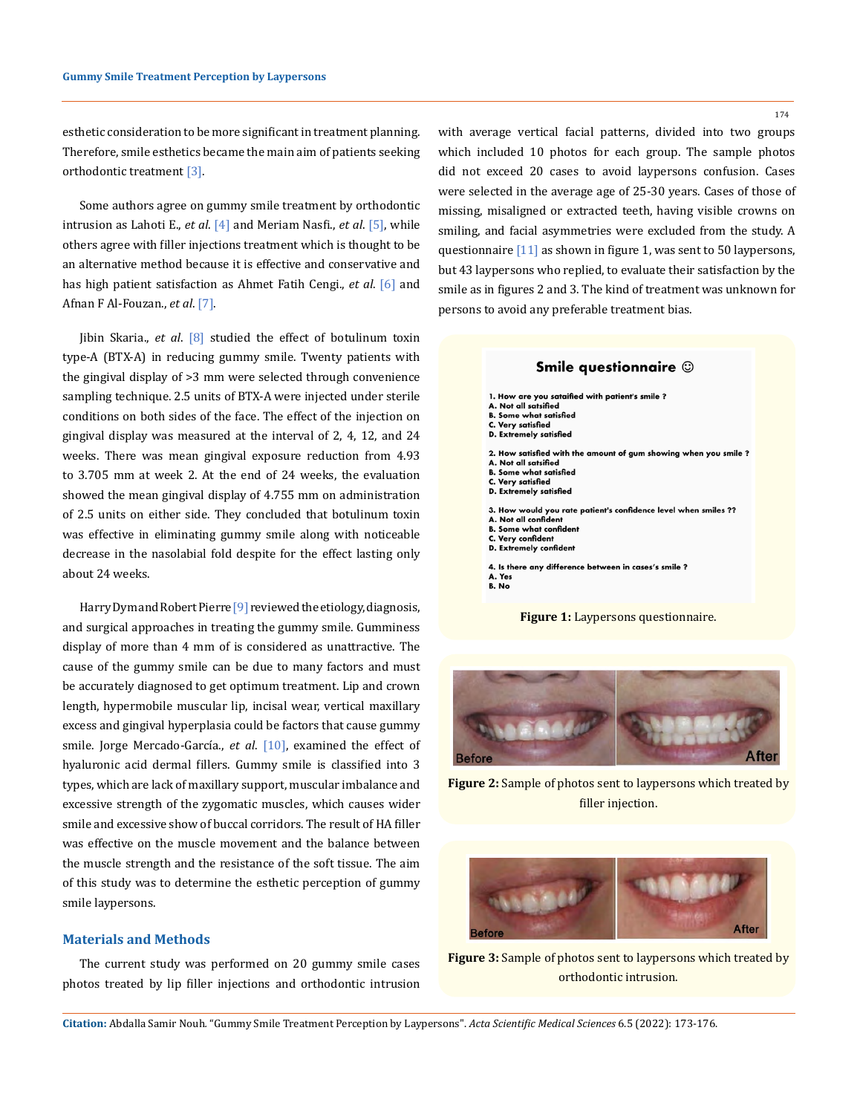esthetic consideration to be more significant in treatment planning. Therefore, smile esthetics became the main aim of patients seeking orthodontic treatment [3].

Some authors agree on gummy smile treatment by orthodontic intrusion as Lahoti E., *et al*. [4] and Meriam Nasfi., *et al*. [5], while others agree with filler injections treatment which is thought to be an alternative method because it is effective and conservative and has high patient satisfaction as Ahmet Fatih Cengi., *et al*. [6] and Afnan F Al-Fouzan., *et al*. [7].

Jibin Skaria., *et al*. [8] studied the effect of botulinum toxin type-A (BTX-A) in reducing gummy smile. Twenty patients with the gingival display of >3 mm were selected through convenience sampling technique. 2.5 units of BTX-A were injected under sterile conditions on both sides of the face. The effect of the injection on gingival display was measured at the interval of 2, 4, 12, and 24 weeks. There was mean gingival exposure reduction from 4.93 to 3.705 mm at week 2. At the end of 24 weeks, the evaluation showed the mean gingival display of 4.755 mm on administration of 2.5 units on either side. They concluded that botulinum toxin was effective in eliminating gummy smile along with noticeable decrease in the nasolabial fold despite for the effect lasting only about 24 weeks.

[Harry Dym](https://pubmed.ncbi.nlm.nih.gov/?term=Dym+H&cauthor_id=32111273)and Robert Pierre [9] reviewed the etiology, diagnosis, and surgical approaches in treating the gummy smile. Gumminess display of more than 4 mm of is considered as unattractive. The cause of the gummy smile can be due to many factors and must be accurately diagnosed to get optimum treatment. Lip and crown length, hypermobile muscular lip, incisal wear, vertical maxillary excess and gingival hyperplasia could be factors that cause gummy smile. Jorge Mercado-García., *et al*. [10], examined the effect of hyaluronic acid dermal fillers. Gummy smile is classified into 3 types, which are lack of maxillary support, muscular imbalance and excessive strength of the zygomatic muscles, which causes wider smile and excessive show of buccal corridors. The result of HA filler was effective on the muscle movement and the balance between the muscle strength and the resistance of the soft tissue. The aim of this study was to determine the esthetic perception of gummy smile laypersons.

## **Materials and Methods**

The current study was performed on 20 gummy smile cases photos treated by lip filler injections and orthodontic intrusion with average vertical facial patterns, divided into two groups which included 10 photos for each group. The sample photos did not exceed 20 cases to avoid laypersons confusion. Cases were selected in the average age of 25-30 years. Cases of those of missing, misaligned or extracted teeth, having visible crowns on smiling, and facial asymmetries were excluded from the study. A questionnaire [11] as shown in figure 1, was sent to 50 laypersons, but 43 laypersons who replied, to evaluate their satisfaction by the smile as in figures 2 and 3. The kind of treatment was unknown for persons to avoid any preferable treatment bias.



**Figure 1:** Laypersons questionnaire.



**Figure 2:** Sample of photos sent to laypersons which treated by filler injection.



**Figure 3:** Sample of photos sent to laypersons which treated by orthodontic intrusion.

174

**Citation:** Abdalla Samir Nouh*.* "Gummy Smile Treatment Perception by Laypersons". *Acta Scientific Medical Sciences* 6.5 (2022): 173-176.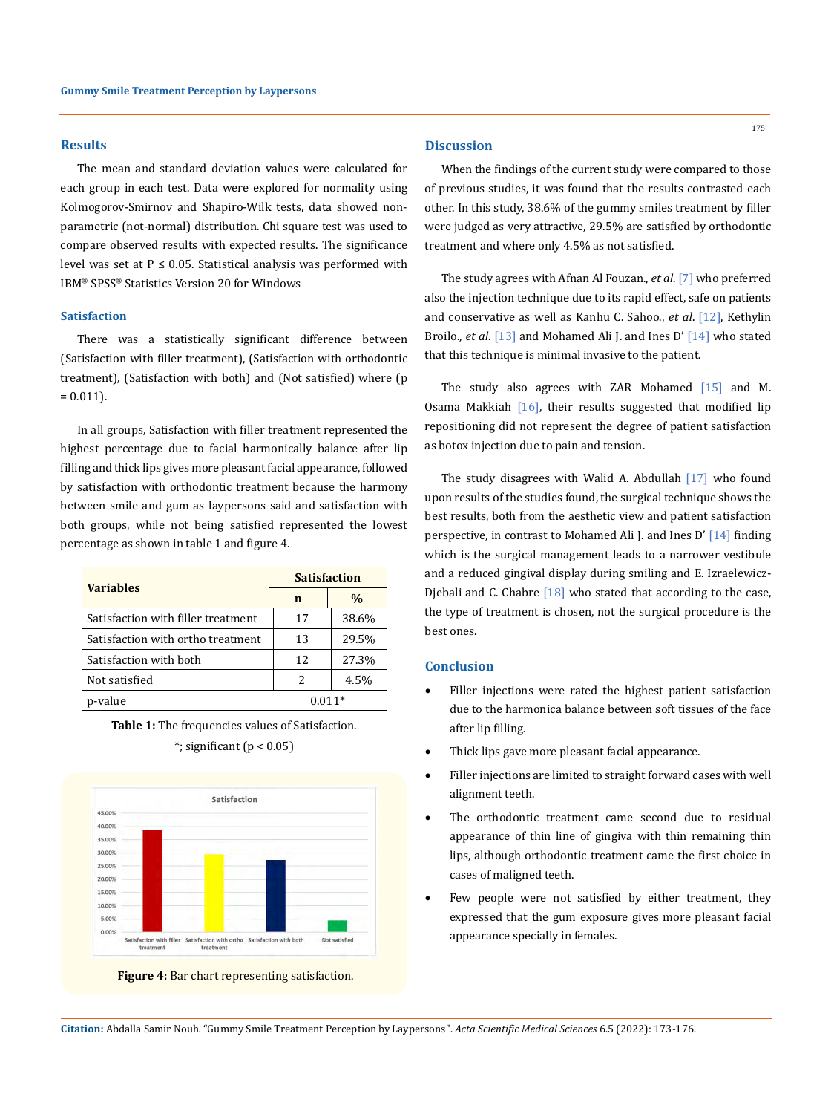#### **Results**

The mean and standard deviation values were calculated for each group in each test. Data were explored for normality using Kolmogorov-Smirnov and Shapiro-Wilk tests, data showed nonparametric (not-normal) distribution. Chi square test was used to compare observed results with expected results. The significance level was set at  $P \le 0.05$ . Statistical analysis was performed with IBM® SPSS® Statistics Version 20 for Windows

### **Satisfaction**

There was a statistically significant difference between (Satisfaction with filler treatment), (Satisfaction with orthodontic treatment), (Satisfaction with both) and (Not satisfied) where (p  $= 0.011$ ).

In all groups, Satisfaction with filler treatment represented the highest percentage due to facial harmonically balance after lip filling and thick lips gives more pleasant facial appearance, followed by satisfaction with orthodontic treatment because the harmony between smile and gum as laypersons said and satisfaction with both groups, while not being satisfied represented the lowest percentage as shown in table 1 and figure 4.

| <b>Variables</b>                   | <b>Satisfaction</b> |       |
|------------------------------------|---------------------|-------|
|                                    | n                   | $\%$  |
| Satisfaction with filler treatment | 17                  | 38.6% |
| Satisfaction with ortho treatment  | 13                  | 29.5% |
| Satisfaction with both             | 12                  | 27.3% |
| Not satisfied                      | 2.                  | 4.5%  |
| p-value                            | $0.011*$            |       |

**Table 1:** The frequencies values of Satisfaction.





**Figure 4:** Bar chart representing satisfaction.

# **Discussion**

When the findings of the current study were compared to those of previous studies, it was found that the results contrasted each other. In this study, 38.6% of the gummy smiles treatment by filler were judged as very attractive, 29.5% are satisfied by orthodontic treatment and where only 4.5% as not satisfied.

The study agrees with Afnan Al Fouzan., *et al*. [7] who preferred also the injection technique due to its rapid effect, safe on patients and conservative as well as Kanhu C. Sahoo., *et al*. [12], Kethylin Broilo., *et al*. [13] and Mohamed Ali J. and Ines D' [14] who stated that this technique is minimal invasive to the patient.

The study also agrees with ZAR Mohamed [15] and M. Osama Makkiah [16], their results suggested that modified lip repositioning did not represent the degree of patient satisfaction as botox injection due to pain and tension.

The study disagrees with Walid A. Abdullah [17] who found upon results of the studies found, the surgical technique shows the best results, both from the aesthetic view and patient satisfaction perspective, in contrast to Mohamed Ali J. and Ines D' [14] finding which is the surgical management leads to a narrower vestibule and a reduced gingival display during smiling and E. Izraelewicz-Djebali and C. Chabre [18] who stated that according to the case, the type of treatment is chosen, not the surgical procedure is the best ones.

#### **Conclusion**

- Filler injections were rated the highest patient satisfaction due to the harmonica balance between soft tissues of the face after lip filling.
- Thick lips gave more pleasant facial appearance.
- Filler injections are limited to straight forward cases with well alignment teeth.
- The orthodontic treatment came second due to residual appearance of thin line of gingiva with thin remaining thin lips, although orthodontic treatment came the first choice in cases of maligned teeth.
- Few people were not satisfied by either treatment, they expressed that the gum exposure gives more pleasant facial appearance specially in females.